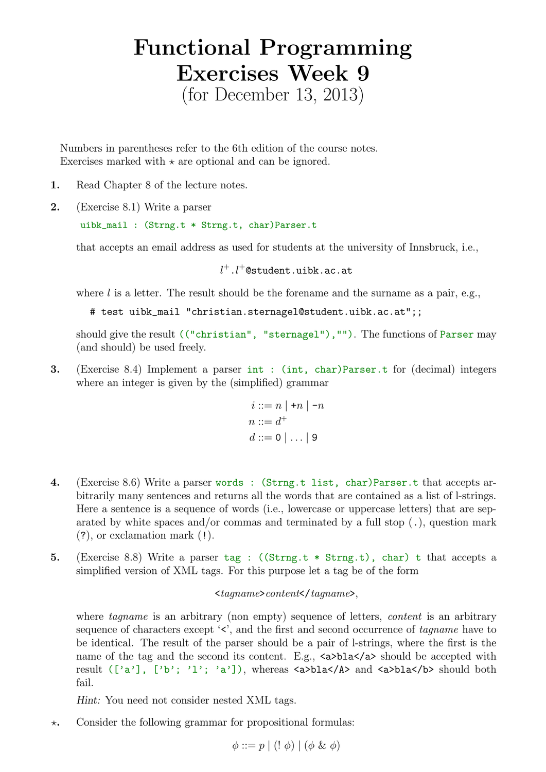## Functional Programming Exercises Week 9 (for December 13, 2013)

Numbers in parentheses refer to the 6th edition of the course notes. Exercises marked with  $\star$  are optional and can be ignored.

- 1. Read Chapter 8 of the lecture notes.
- 2. (Exercise 8.1) Write a parser

uibk\_mail : (Strng.t \* Strng.t, char)Parser.t

that accepts an email address as used for students at the university of Innsbruck, i.e.,

 $l^{+}.l^{+}$ @student.uibk.ac.at

where  $l$  is a letter. The result should be the forename and the surname as a pair, e.g.,

# test uibk\_mail "christian.sternagel@student.uibk.ac.at";;

should give the result (("christian", "sternagel"),""). The functions of Parser may (and should) be used freely.

3. (Exercise 8.4) Implement a parser int : (int, char)Parser.t for (decimal) integers where an integer is given by the (simplified) grammar

$$
i ::= n \mid +n \mid -n
$$
  
\n
$$
n ::= d^{+}
$$
  
\n
$$
d ::= 0 \mid ... \mid 9
$$

- 4. (Exercise 8.6) Write a parser words : (Strng.t list, char)Parser.t that accepts arbitrarily many sentences and returns all the words that are contained as a list of l-strings. Here a sentence is a sequence of words (i.e., lowercase or uppercase letters) that are separated by white spaces and/or commas and terminated by a full stop  $(.)$ , question mark (?), or exclamation mark (!).
- 5. (Exercise 8.8) Write a parser  $tag$ : ((Strng.t  $*$  Strng.t), char) t that accepts a simplified version of XML tags. For this purpose let a tag be of the form

## $\langle tagname \rangle content \langle tagname \rangle,$

where *tagname* is an arbitrary (non empty) sequence of letters, *content* is an arbitrary sequence of characters except  $\langle \cdot \rangle$ , and the first and second occurrence of tagname have to be identical. The result of the parser should be a pair of l-strings, where the first is the name of the tag and the second its content. E.g.,  $\langle a \rangle$ bla $\langle a \rangle$  should be accepted with result (['a'], ['b'; 'l'; 'a']), whereas <a>bla</A> and <a>bla</b> should both fail.

Hint: You need not consider nested XML tags.

 $\star$ . Consider the following grammar for propositional formulas:

$$
\phi ::= p \mid (! \phi) \mid (\phi \& \phi)
$$